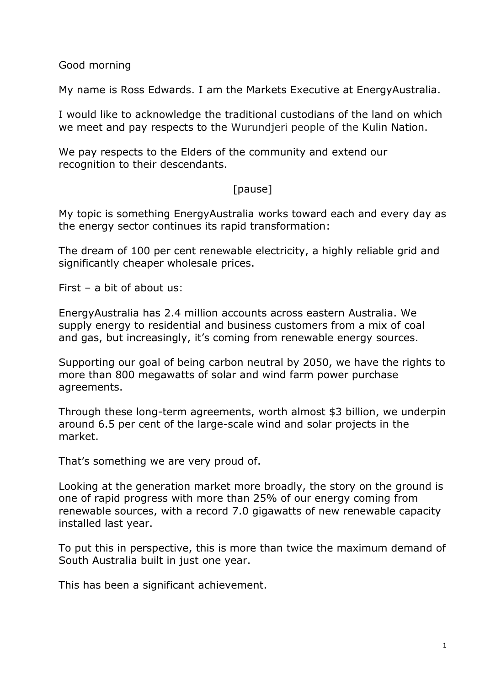Good morning

My name is Ross Edwards. I am the Markets Executive at EnergyAustralia.

I would like to acknowledge the traditional custodians of the land on which we meet and pay respects to the Wurundjeri people of the Kulin Nation.

We pay respects to the Elders of the community and extend our recognition to their descendants.

# [pause]

My topic is something EnergyAustralia works toward each and every day as the energy sector continues its rapid transformation:

The dream of 100 per cent renewable electricity, a highly reliable grid and significantly cheaper wholesale prices.

First – a bit of about us:

EnergyAustralia has 2.4 million accounts across eastern Australia. We supply energy to residential and business customers from a mix of coal and gas, but increasingly, it's coming from renewable energy sources.

Supporting our goal of being carbon neutral by 2050, we have the rights to more than 800 megawatts of solar and wind farm power purchase agreements.

Through these long-term agreements, worth almost \$3 billion, we underpin around 6.5 per cent of the large-scale wind and solar projects in the market.

That's something we are very proud of.

Looking at the generation market more broadly, the story on the ground is one of rapid progress with more than 25% of our energy coming from renewable sources, with a record 7.0 gigawatts of new renewable capacity installed last year.

To put this in perspective, this is more than twice the maximum demand of South Australia built in just one year.

This has been a significant achievement.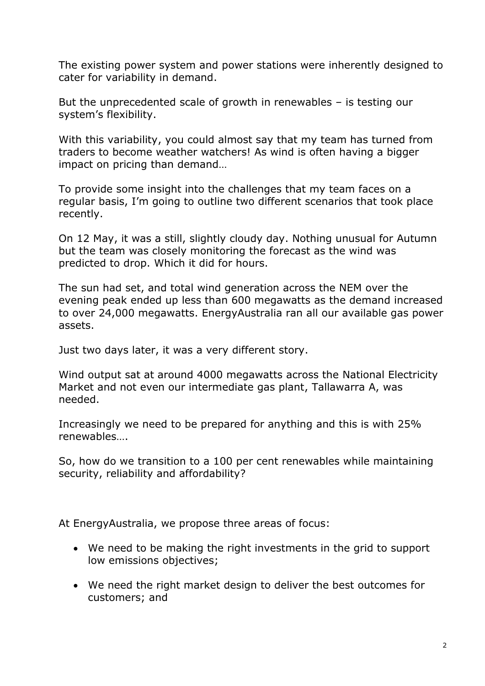The existing power system and power stations were inherently designed to cater for variability in demand.

But the unprecedented scale of growth in renewables – is testing our system's flexibility.

With this variability, you could almost say that my team has turned from traders to become weather watchers! As wind is often having a bigger impact on pricing than demand…

To provide some insight into the challenges that my team faces on a regular basis, I'm going to outline two different scenarios that took place recently.

On 12 May, it was a still, slightly cloudy day. Nothing unusual for Autumn but the team was closely monitoring the forecast as the wind was predicted to drop. Which it did for hours.

The sun had set, and total wind generation across the NEM over the evening peak ended up less than 600 megawatts as the demand increased to over 24,000 megawatts. EnergyAustralia ran all our available gas power assets.

Just two days later, it was a very different story.

Wind output sat at around 4000 megawatts across the National Electricity Market and not even our intermediate gas plant, Tallawarra A, was needed.

Increasingly we need to be prepared for anything and this is with 25% renewables….

So, how do we transition to a 100 per cent renewables while maintaining security, reliability and affordability?

At EnergyAustralia, we propose three areas of focus:

- We need to be making the right investments in the grid to support low emissions objectives;
- We need the right market design to deliver the best outcomes for customers; and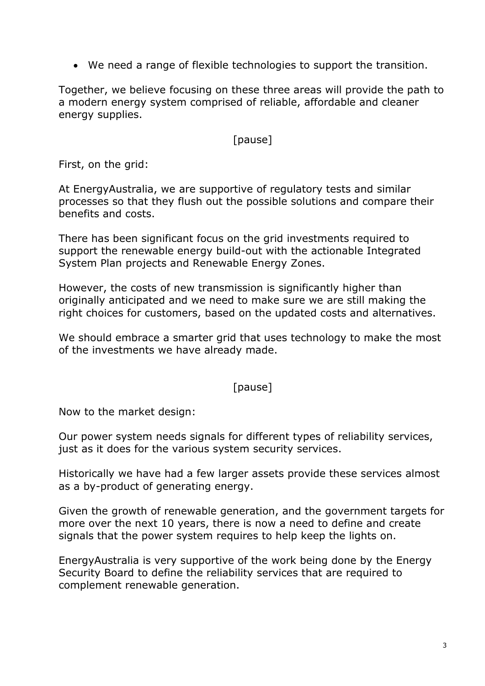• We need a range of flexible technologies to support the transition.

Together, we believe focusing on these three areas will provide the path to a modern energy system comprised of reliable, affordable and cleaner energy supplies.

#### [pause]

First, on the grid:

At EnergyAustralia, we are supportive of regulatory tests and similar processes so that they flush out the possible solutions and compare their benefits and costs.

There has been significant focus on the grid investments required to support the renewable energy build-out with the actionable Integrated System Plan projects and Renewable Energy Zones.

However, the costs of new transmission is significantly higher than originally anticipated and we need to make sure we are still making the right choices for customers, based on the updated costs and alternatives.

We should embrace a smarter grid that uses technology to make the most of the investments we have already made.

#### [pause]

Now to the market design:

Our power system needs signals for different types of reliability services, just as it does for the various system security services.

Historically we have had a few larger assets provide these services almost as a by-product of generating energy.

Given the growth of renewable generation, and the government targets for more over the next 10 years, there is now a need to define and create signals that the power system requires to help keep the lights on.

EnergyAustralia is very supportive of the work being done by the Energy Security Board to define the reliability services that are required to complement renewable generation.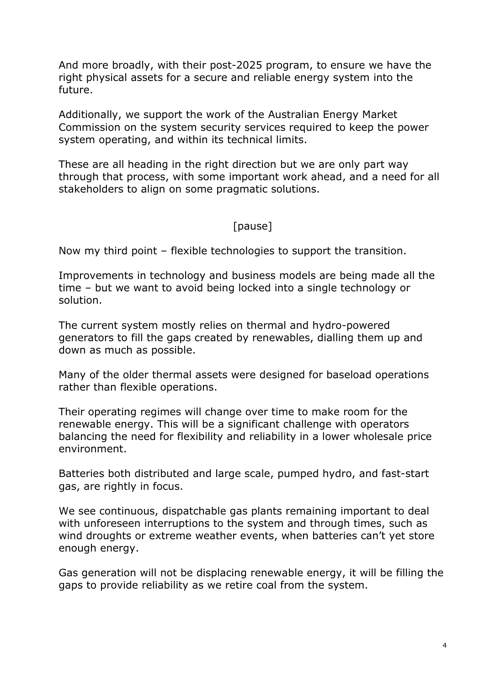And more broadly, with their post-2025 program, to ensure we have the right physical assets for a secure and reliable energy system into the future.

Additionally, we support the work of the Australian Energy Market Commission on the system security services required to keep the power system operating, and within its technical limits.

These are all heading in the right direction but we are only part way through that process, with some important work ahead, and a need for all stakeholders to align on some pragmatic solutions.

## [pause]

Now my third point – flexible technologies to support the transition.

Improvements in technology and business models are being made all the time – but we want to avoid being locked into a single technology or solution.

The current system mostly relies on thermal and hydro-powered generators to fill the gaps created by renewables, dialling them up and down as much as possible.

Many of the older thermal assets were designed for baseload operations rather than flexible operations.

Their operating regimes will change over time to make room for the renewable energy. This will be a significant challenge with operators balancing the need for flexibility and reliability in a lower wholesale price environment.

Batteries both distributed and large scale, pumped hydro, and fast-start gas, are rightly in focus.

We see continuous, dispatchable gas plants remaining important to deal with unforeseen interruptions to the system and through times, such as wind droughts or extreme weather events, when batteries can't yet store enough energy.

Gas generation will not be displacing renewable energy, it will be filling the gaps to provide reliability as we retire coal from the system.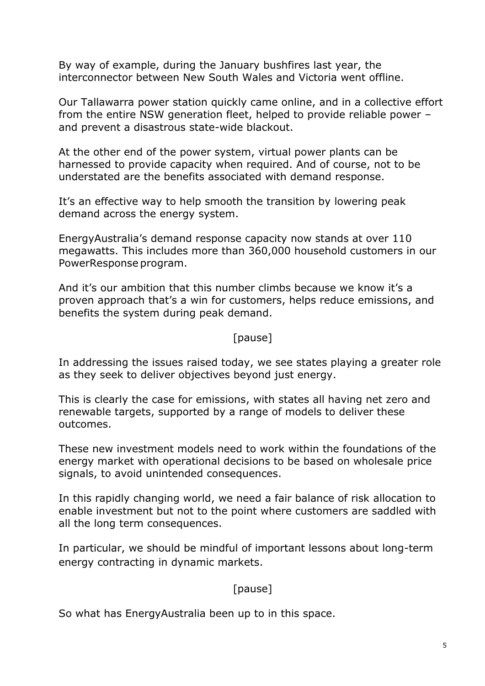By way of example, during the January bushfires last year, the interconnector between New South Wales and Victoria went offline.

Our Tallawarra power station quickly came online, and in a collective effort from the entire NSW generation fleet, helped to provide reliable power – and prevent a disastrous state-wide blackout.

At the other end of the power system, virtual power plants can be harnessed to provide capacity when required. And of course, not to be understated are the benefits associated with demand response.

It's an effective way to help smooth the transition by lowering peak demand across the energy system.

EnergyAustralia's demand response capacity now stands at over 110 megawatts. This includes more than 360,000 household customers in our PowerResponse program.

And it's our ambition that this number climbs because we know it's a proven approach that's a win for customers, helps reduce emissions, and benefits the system during peak demand.

## [pause]

In addressing the issues raised today, we see states playing a greater role as they seek to deliver objectives beyond just energy.

This is clearly the case for emissions, with states all having net zero and renewable targets, supported by a range of models to deliver these outcomes.

These new investment models need to work within the foundations of the energy market with operational decisions to be based on wholesale price signals, to avoid unintended consequences.

In this rapidly changing world, we need a fair balance of risk allocation to enable investment but not to the point where customers are saddled with all the long term consequences.

In particular, we should be mindful of important lessons about long-term energy contracting in dynamic markets.

# [pause]

So what has EnergyAustralia been up to in this space.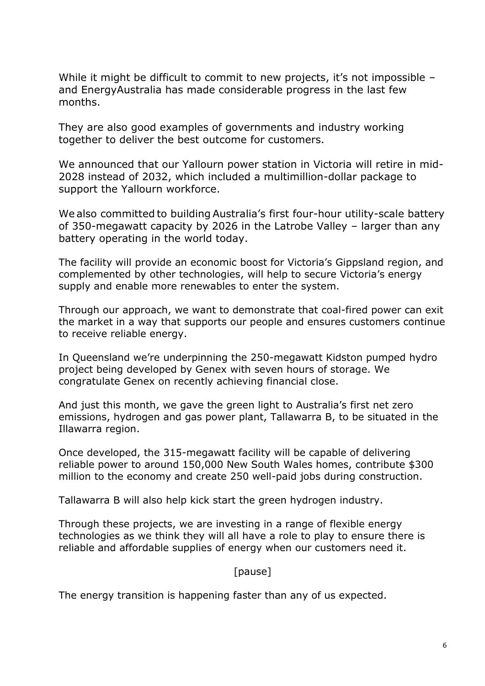While it might be difficult to commit to new projects, it's not impossible and EnergyAustralia has made considerable progress in the last few months.

They are also good examples of governments and industry working together to deliver the best outcome for customers.

We announced that our Yallourn power station in Victoria will retire in mid-2028 instead of 2032, which included a multimillion-dollar package to support the Yallourn workforce.

We also committed to building Australia's first four-hour utility-scale battery of 350-megawatt capacity by 2026 in the Latrobe Valley – larger than any battery operating in the world today.  

The facility will provide an economic boost for Victoria's Gippsland region, and complemented by other technologies, will help to secure Victoria's energy supply and enable more renewables to enter the system.

Through our approach, we want to demonstrate that coal-fired power can exit the market in a way that supports our people and ensures customers continue to receive reliable energy.

In Queensland we're underpinning the 250-megawatt Kidston pumped hydro project being developed by Genex with seven hours of storage. We congratulate Genex on recently achieving financial close.

And just this month, we gave the green light to Australia's first net zero emissions, hydrogen and gas power plant, Tallawarra B, to be situated in the Illawarra region.

Once developed, the 315-megawatt facility will be capable of delivering reliable power to around 150,000 New South Wales homes, contribute \$300 million to the economy and create 250 well-paid jobs during construction.

Tallawarra B will also help kick start the green hydrogen industry.

Through these projects, we are investing in a range of flexible energy technologies as we think they will all have a role to play to ensure there is reliable and affordable supplies of energy when our customers need it.

#### [pause]

The energy transition is happening faster than any of us expected.